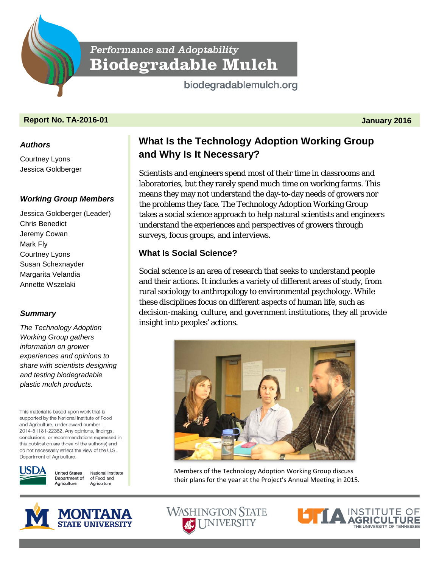Performance and Adoptability **Biodegradable Mulch** 

biodegradablemulch.org

## **Report No. TA-2016-01 January 2016**

#### *Authors*

Courtney Lyons Jessica Goldberger

#### *Working Group Members*

Jessica Goldberger (Leader) Chris Benedict Jeremy Cowan Mark Fly Courtney Lyons Susan Schexnayder Margarita Velandia Annette Wszelaki

## *Summary*

*The Technology Adoption Working Group gathers information on grower experiences and opinions to share with scientists designing and testing biodegradable plastic mulch products.*

This material is based upon work that is supported by the National Institute of Food and Agriculture, under award number 2014-51181-22382. Any opinions, findings, conclusions, or recommendations expressed in this publication are those of the author(s) and do not necessarily reflect the view of the U.S. Department of Agriculture.



**United States** National Institute Department of of Food and Agriculture Agriculture



# **What Is the Technology Adoption Working Group and Why Is It Necessary?**

Scientists and engineers spend most of their time in classrooms and laboratories, but they rarely spend much time on working farms. This means they may not understand the day-to-day needs of growers nor the problems they face. The Technology Adoption Working Group takes a social science approach to help natural scientists and engineers understand the experiences and perspectives of growers through surveys, focus groups, and interviews.

## **What Is Social Science?**

Social science is an area of research that seeks to understand people and their actions. It includes a variety of different areas of study, from rural sociology to anthropology to environmental psychology. While these disciplines focus on different aspects of human life, such as decision-making, culture, and government institutions, they all provide insight into peoples' actions.



Members of the Technology Adoption Working Group discuss their plans for the year at the Project's Annual Meeting in 2015.

**WASHINGTON STATE SC UNIVERSITY**